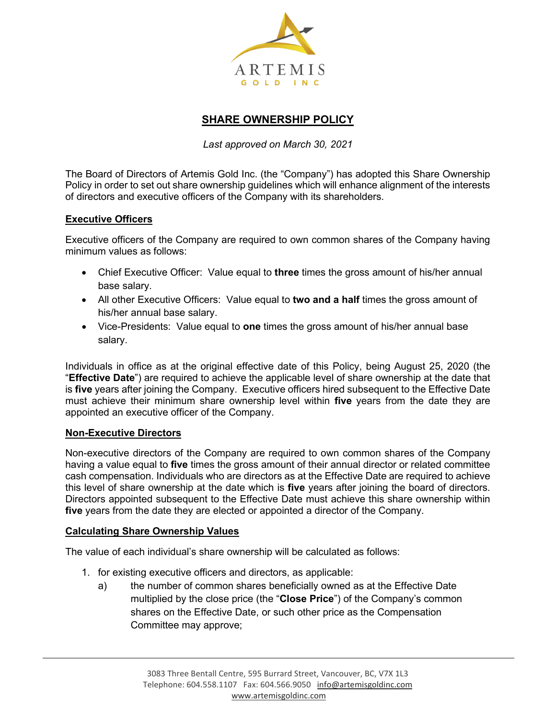

# **SHARE OWNERSHIP POLICY**

*Last approved on March 30, 2021*

The Board of Directors of Artemis Gold Inc. (the "Company") has adopted this Share Ownership Policy in order to set out share ownership guidelines which will enhance alignment of the interests of directors and executive officers of the Company with its shareholders.

#### **Executive Officers**

Executive officers of the Company are required to own common shares of the Company having minimum values as follows:

- Chief Executive Officer: Value equal to **three** times the gross amount of his/her annual base salary.
- All other Executive Officers: Value equal to **two and a half** times the gross amount of his/her annual base salary.
- Vice-Presidents: Value equal to **one** times the gross amount of his/her annual base salary.

Individuals in office as at the original effective date of this Policy, being August 25, 2020 (the "**Effective Date**") are required to achieve the applicable level of share ownership at the date that is **five** years after joining the Company. Executive officers hired subsequent to the Effective Date must achieve their minimum share ownership level within **five** years from the date they are appointed an executive officer of the Company.

#### **Non-Executive Directors**

Non-executive directors of the Company are required to own common shares of the Company having a value equal to **five** times the gross amount of their annual director or related committee cash compensation. Individuals who are directors as at the Effective Date are required to achieve this level of share ownership at the date which is **five** years after joining the board of directors. Directors appointed subsequent to the Effective Date must achieve this share ownership within **five** years from the date they are elected or appointed a director of the Company.

#### **Calculating Share Ownership Values**

The value of each individual's share ownership will be calculated as follows:

- 1. for existing executive officers and directors, as applicable:
	- a) the number of common shares beneficially owned as at the Effective Date multiplied by the close price (the "**Close Price**") of the Company's common shares on the Effective Date, or such other price as the Compensation Committee may approve;